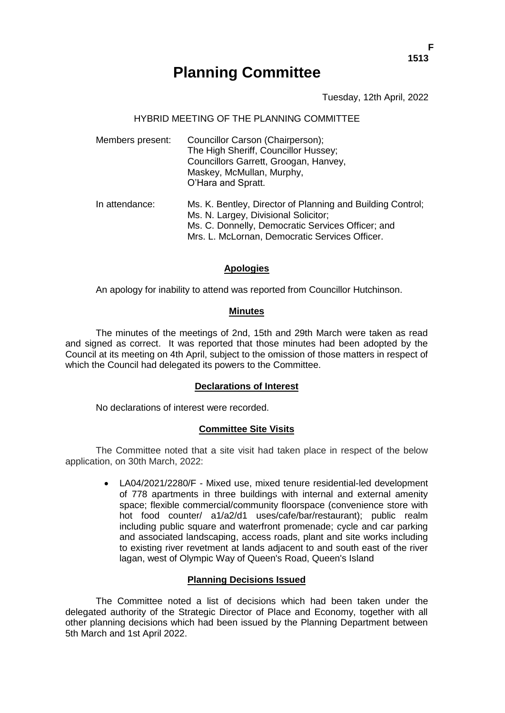# **Planning Committee**

Tuesday, 12th April, 2022

#### HYBRID MEETING OF THE PLANNING COMMITTEE

| Members present: | Councillor Carson (Chairperson);<br>The High Sheriff, Councillor Hussey;<br>Councillors Garrett, Groogan, Hanvey,<br>Maskey, McMullan, Murphy,<br>O'Hara and Spratt.                                      |
|------------------|-----------------------------------------------------------------------------------------------------------------------------------------------------------------------------------------------------------|
| In attendance:   | Ms. K. Bentley, Director of Planning and Building Control;<br>Ms. N. Largey, Divisional Solicitor;<br>Ms. C. Donnelly, Democratic Services Officer; and<br>Mrs. L. McLornan, Democratic Services Officer. |

#### **Apologies**

An apology for inability to attend was reported from Councillor Hutchinson.

#### **Minutes**

The minutes of the meetings of 2nd, 15th and 29th March were taken as read and signed as correct. It was reported that those minutes had been adopted by the Council at its meeting on 4th April, subject to the omission of those matters in respect of which the Council had delegated its powers to the Committee.

#### **Declarations of Interest**

No declarations of interest were recorded.

#### **Committee Site Visits**

The Committee noted that a site visit had taken place in respect of the below application, on 30th March, 2022:

> LA04/2021/2280/F - Mixed use, mixed tenure residential-led development of 778 apartments in three buildings with internal and external amenity space; flexible commercial/community floorspace (convenience store with hot food counter/ a1/a2/d1 uses/cafe/bar/restaurant); public realm including public square and waterfront promenade; cycle and car parking and associated landscaping, access roads, plant and site works including to existing river revetment at lands adjacent to and south east of the river lagan, west of Olympic Way of Queen's Road, Queen's Island

#### **Planning Decisions Issued**

The Committee noted a list of decisions which had been taken under the delegated authority of the Strategic Director of Place and Economy, together with all other planning decisions which had been issued by the Planning Department between 5th March and 1st April 2022.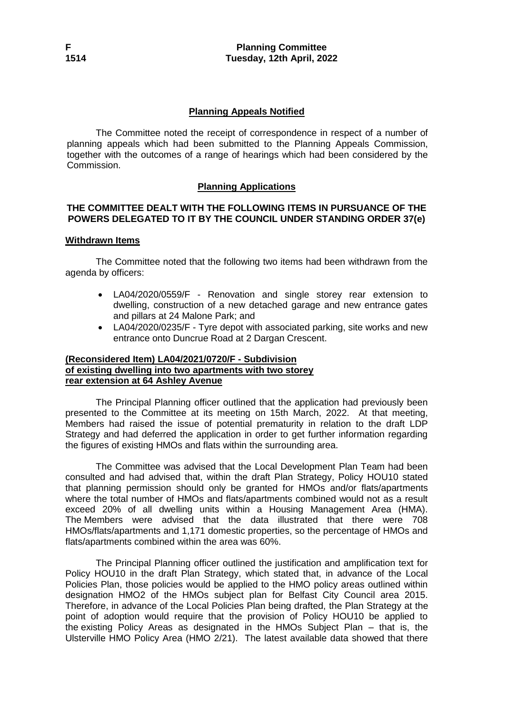# **Planning Appeals Notified**

The Committee noted the receipt of correspondence in respect of a number of planning appeals which had been submitted to the Planning Appeals Commission, together with the outcomes of a range of hearings which had been considered by the Commission.

## **Planning Applications**

## **THE COMMITTEE DEALT WITH THE FOLLOWING ITEMS IN PURSUANCE OF THE POWERS DELEGATED TO IT BY THE COUNCIL UNDER STANDING ORDER 37(e)**

## **Withdrawn Items**

The Committee noted that the following two items had been withdrawn from the agenda by officers:

- LA04/2020/0559/F Renovation and single storey rear extension to dwelling, construction of a new detached garage and new entrance gates and pillars at 24 Malone Park; and
- LA04/2020/0235/F Tyre depot with associated parking, site works and new entrance onto Duncrue Road at 2 Dargan Crescent.

## **(Reconsidered Item) LA04/2021/0720/F - Subdivision of existing dwelling into two apartments with two storey rear extension at 64 Ashley Avenue**

The Principal Planning officer outlined that the application had previously been presented to the Committee at its meeting on 15th March, 2022. At that meeting, Members had raised the issue of potential prematurity in relation to the draft LDP Strategy and had deferred the application in order to get further information regarding the figures of existing HMOs and flats within the surrounding area.

The Committee was advised that the Local Development Plan Team had been consulted and had advised that, within the draft Plan Strategy, Policy HOU10 stated that planning permission should only be granted for HMOs and/or flats/apartments where the total number of HMOs and flats/apartments combined would not as a result exceed 20% of all dwelling units within a Housing Management Area (HMA). The Members were advised that the data illustrated that there were 708 HMOs/flats/apartments and 1,171 domestic properties, so the percentage of HMOs and flats/apartments combined within the area was 60%.

The Principal Planning officer outlined the justification and amplification text for Policy HOU10 in the draft Plan Strategy, which stated that, in advance of the Local Policies Plan, those policies would be applied to the HMO policy areas outlined within designation HMO2 of the HMOs subject plan for Belfast City Council area 2015. Therefore, in advance of the Local Policies Plan being drafted, the Plan Strategy at the point of adoption would require that the provision of Policy HOU10 be applied to the existing Policy Areas as designated in the HMOs Subject Plan – that is, the Ulsterville HMO Policy Area (HMO 2/21). The latest available data showed that there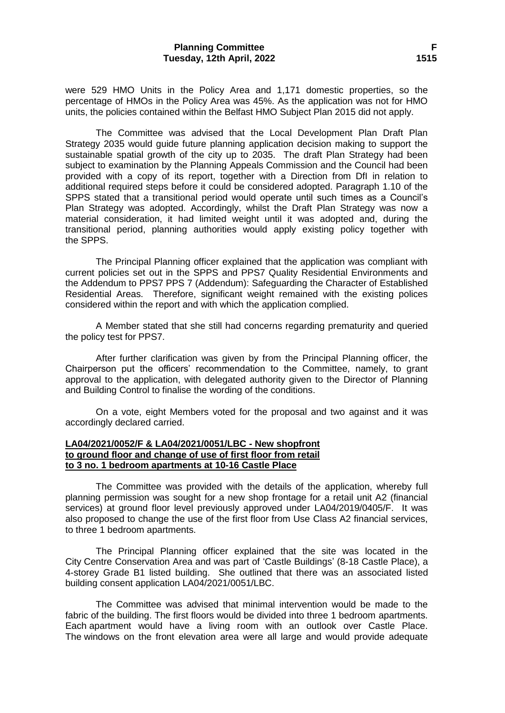#### **Planning Committee F Tuesday, 12th April, 2022 1515**

were 529 HMO Units in the Policy Area and 1,171 domestic properties, so the percentage of HMOs in the Policy Area was 45%. As the application was not for HMO units, the policies contained within the Belfast HMO Subject Plan 2015 did not apply.

The Committee was advised that the Local Development Plan Draft Plan Strategy 2035 would guide future planning application decision making to support the sustainable spatial growth of the city up to 2035. The draft Plan Strategy had been subject to examination by the Planning Appeals Commission and the Council had been provided with a copy of its report, together with a Direction from DfI in relation to additional required steps before it could be considered adopted. Paragraph 1.10 of the SPPS stated that a transitional period would operate until such times as a Council's Plan Strategy was adopted. Accordingly, whilst the Draft Plan Strategy was now a material consideration, it had limited weight until it was adopted and, during the transitional period, planning authorities would apply existing policy together with the SPPS.

The Principal Planning officer explained that the application was compliant with current policies set out in the SPPS and PPS7 Quality Residential Environments and the Addendum to PPS7 PPS 7 (Addendum): Safeguarding the Character of Established Residential Areas. Therefore, significant weight remained with the existing polices considered within the report and with which the application complied.

A Member stated that she still had concerns regarding prematurity and queried the policy test for PPS7.

After further clarification was given by from the Principal Planning officer, the Chairperson put the officers' recommendation to the Committee, namely, to grant approval to the application, with delegated authority given to the Director of Planning and Building Control to finalise the wording of the conditions.

On a vote, eight Members voted for the proposal and two against and it was accordingly declared carried.

#### **LA04/2021/0052/F & LA04/2021/0051/LBC - New shopfront to ground floor and change of use of first floor from retail to 3 no. 1 bedroom apartments at 10-16 Castle Place**

The Committee was provided with the details of the application, whereby full planning permission was sought for a new shop frontage for a retail unit A2 (financial services) at ground floor level previously approved under LA04/2019/0405/F. It was also proposed to change the use of the first floor from Use Class A2 financial services, to three 1 bedroom apartments.

The Principal Planning officer explained that the site was located in the City Centre Conservation Area and was part of 'Castle Buildings' (8-18 Castle Place), a 4-storey Grade B1 listed building. She outlined that there was an associated listed building consent application LA04/2021/0051/LBC.

The Committee was advised that minimal intervention would be made to the fabric of the building. The first floors would be divided into three 1 bedroom apartments. Each apartment would have a living room with an outlook over Castle Place. The windows on the front elevation area were all large and would provide adequate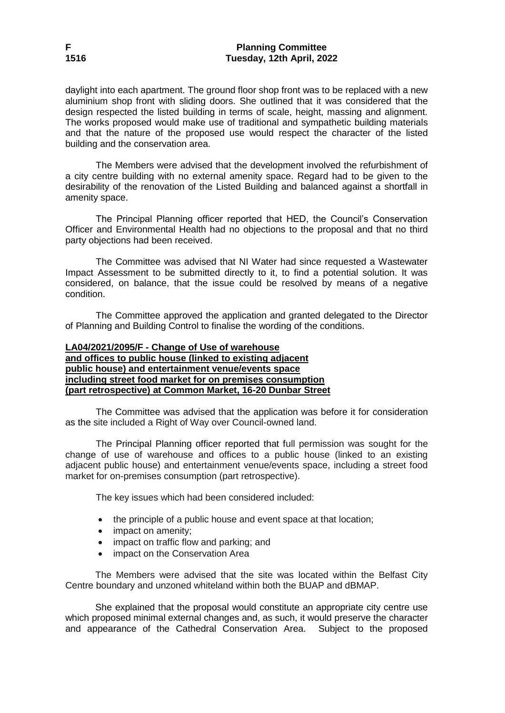daylight into each apartment. The ground floor shop front was to be replaced with a new aluminium shop front with sliding doors. She outlined that it was considered that the design respected the listed building in terms of scale, height, massing and alignment. The works proposed would make use of traditional and sympathetic building materials and that the nature of the proposed use would respect the character of the listed building and the conservation area.

The Members were advised that the development involved the refurbishment of a city centre building with no external amenity space. Regard had to be given to the desirability of the renovation of the Listed Building and balanced against a shortfall in amenity space.

The Principal Planning officer reported that HED, the Council's Conservation Officer and Environmental Health had no objections to the proposal and that no third party objections had been received.

The Committee was advised that NI Water had since requested a Wastewater Impact Assessment to be submitted directly to it, to find a potential solution. It was considered, on balance, that the issue could be resolved by means of a negative condition.

The Committee approved the application and granted delegated to the Director of Planning and Building Control to finalise the wording of the conditions.

## **LA04/2021/2095/F - Change of Use of warehouse and offices to public house (linked to existing adjacent public house) and entertainment venue/events space including street food market for on premises consumption (part retrospective) at Common Market, 16-20 Dunbar Street**

The Committee was advised that the application was before it for consideration as the site included a Right of Way over Council-owned land.

The Principal Planning officer reported that full permission was sought for the change of use of warehouse and offices to a public house (linked to an existing adjacent public house) and entertainment venue/events space, including a street food market for on-premises consumption (part retrospective).

The key issues which had been considered included:

- the principle of a public house and event space at that location;
- impact on amenity;
- impact on traffic flow and parking; and
- impact on the Conservation Area

The Members were advised that the site was located within the Belfast City Centre boundary and unzoned whiteland within both the BUAP and dBMAP.

She explained that the proposal would constitute an appropriate city centre use which proposed minimal external changes and, as such, it would preserve the character and appearance of the Cathedral Conservation Area. Subject to the proposed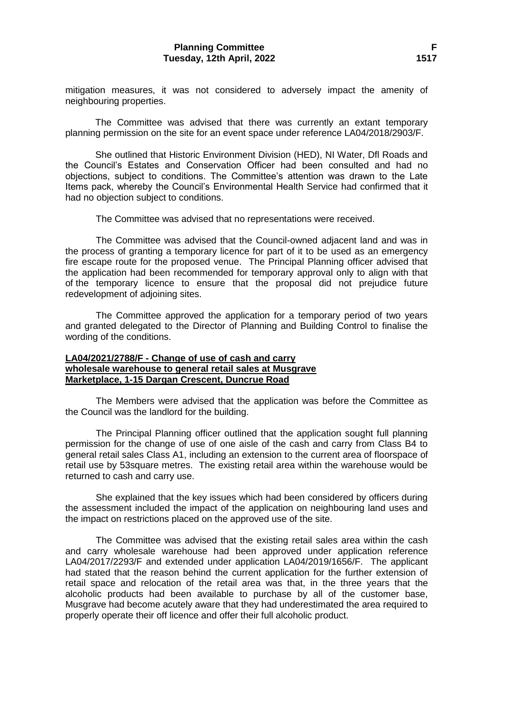mitigation measures, it was not considered to adversely impact the amenity of neighbouring properties.

The Committee was advised that there was currently an extant temporary planning permission on the site for an event space under reference LA04/2018/2903/F.

She outlined that Historic Environment Division (HED), NI Water, Dfl Roads and the Council's Estates and Conservation Officer had been consulted and had no objections, subject to conditions. The Committee's attention was drawn to the Late Items pack, whereby the Council's Environmental Health Service had confirmed that it had no objection subject to conditions.

The Committee was advised that no representations were received.

The Committee was advised that the Council-owned adjacent land and was in the process of granting a temporary licence for part of it to be used as an emergency fire escape route for the proposed venue. The Principal Planning officer advised that the application had been recommended for temporary approval only to align with that of the temporary licence to ensure that the proposal did not prejudice future redevelopment of adjoining sites.

The Committee approved the application for a temporary period of two years and granted delegated to the Director of Planning and Building Control to finalise the wording of the conditions.

#### **LA04/2021/2788/F - Change of use of cash and carry wholesale warehouse to general retail sales at Musgrave Marketplace, 1-15 Dargan Crescent, Duncrue Road**

The Members were advised that the application was before the Committee as the Council was the landlord for the building.

The Principal Planning officer outlined that the application sought full planning permission for the change of use of one aisle of the cash and carry from Class B4 to general retail sales Class A1, including an extension to the current area of floorspace of retail use by 53square metres. The existing retail area within the warehouse would be returned to cash and carry use.

She explained that the key issues which had been considered by officers during the assessment included the impact of the application on neighbouring land uses and the impact on restrictions placed on the approved use of the site.

The Committee was advised that the existing retail sales area within the cash and carry wholesale warehouse had been approved under application reference LA04/2017/2293/F and extended under application LA04/2019/1656/F. The applicant had stated that the reason behind the current application for the further extension of retail space and relocation of the retail area was that, in the three years that the alcoholic products had been available to purchase by all of the customer base, Musgrave had become acutely aware that they had underestimated the area required to properly operate their off licence and offer their full alcoholic product.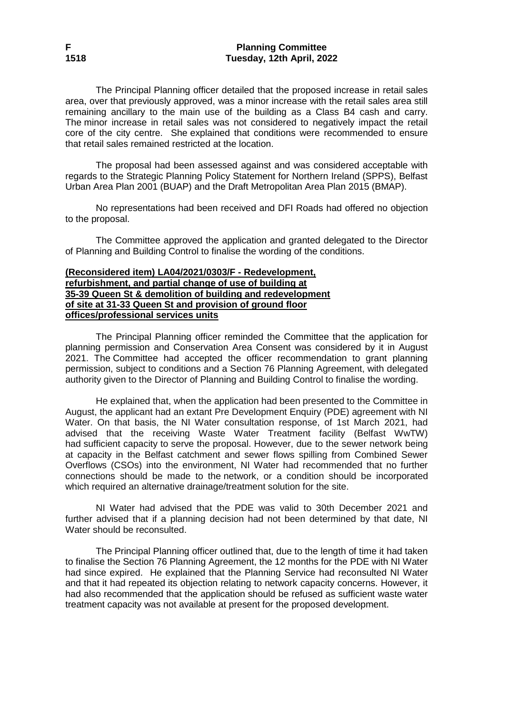The Principal Planning officer detailed that the proposed increase in retail sales area, over that previously approved, was a minor increase with the retail sales area still remaining ancillary to the main use of the building as a Class B4 cash and carry. The minor increase in retail sales was not considered to negatively impact the retail core of the city centre. She explained that conditions were recommended to ensure that retail sales remained restricted at the location.

The proposal had been assessed against and was considered acceptable with regards to the Strategic Planning Policy Statement for Northern Ireland (SPPS), Belfast Urban Area Plan 2001 (BUAP) and the Draft Metropolitan Area Plan 2015 (BMAP).

No representations had been received and DFI Roads had offered no objection to the proposal.

The Committee approved the application and granted delegated to the Director of Planning and Building Control to finalise the wording of the conditions.

#### **(Reconsidered item) LA04/2021/0303/F - Redevelopment, refurbishment, and partial change of use of building at 35-39 Queen St & demolition of building and redevelopment of site at 31-33 Queen St and provision of ground floor offices/professional services units**

The Principal Planning officer reminded the Committee that the application for planning permission and Conservation Area Consent was considered by it in August 2021. The Committee had accepted the officer recommendation to grant planning permission, subject to conditions and a Section 76 Planning Agreement, with delegated authority given to the Director of Planning and Building Control to finalise the wording.

He explained that, when the application had been presented to the Committee in August, the applicant had an extant Pre Development Enquiry (PDE) agreement with NI Water. On that basis, the NI Water consultation response, of 1st March 2021, had advised that the receiving Waste Water Treatment facility (Belfast WwTW) had sufficient capacity to serve the proposal. However, due to the sewer network being at capacity in the Belfast catchment and sewer flows spilling from Combined Sewer Overflows (CSOs) into the environment, NI Water had recommended that no further connections should be made to the network, or a condition should be incorporated which required an alternative drainage/treatment solution for the site.

NI Water had advised that the PDE was valid to 30th December 2021 and further advised that if a planning decision had not been determined by that date, NI Water should be reconsulted.

The Principal Planning officer outlined that, due to the length of time it had taken to finalise the Section 76 Planning Agreement, the 12 months for the PDE with NI Water had since expired. He explained that the Planning Service had reconsulted NI Water and that it had repeated its objection relating to network capacity concerns. However, it had also recommended that the application should be refused as sufficient waste water treatment capacity was not available at present for the proposed development.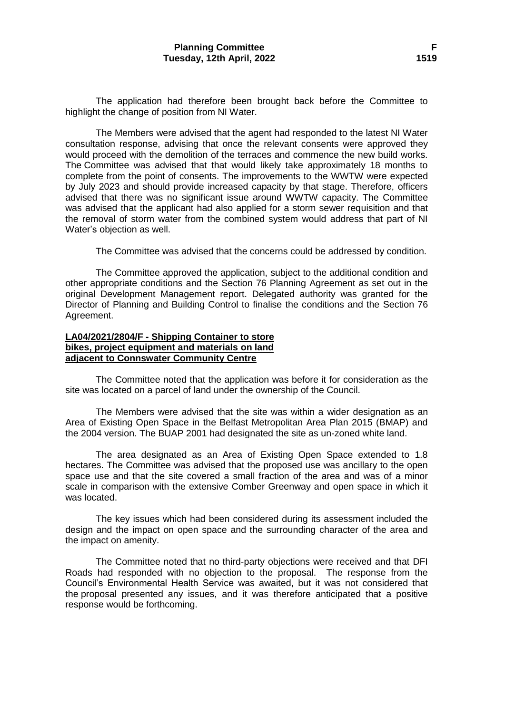The application had therefore been brought back before the Committee to highlight the change of position from NI Water.

The Members were advised that the agent had responded to the latest NI Water consultation response, advising that once the relevant consents were approved they would proceed with the demolition of the terraces and commence the new build works. The Committee was advised that that would likely take approximately 18 months to complete from the point of consents. The improvements to the WWTW were expected by July 2023 and should provide increased capacity by that stage. Therefore, officers advised that there was no significant issue around WWTW capacity. The Committee was advised that the applicant had also applied for a storm sewer requisition and that the removal of storm water from the combined system would address that part of NI Water's objection as well.

The Committee was advised that the concerns could be addressed by condition.

The Committee approved the application, subject to the additional condition and other appropriate conditions and the Section 76 Planning Agreement as set out in the original Development Management report. Delegated authority was granted for the Director of Planning and Building Control to finalise the conditions and the Section 76 Agreement.

#### **LA04/2021/2804/F - Shipping Container to store bikes, project equipment and materials on land adjacent to Connswater Community Centre**

The Committee noted that the application was before it for consideration as the site was located on a parcel of land under the ownership of the Council.

The Members were advised that the site was within a wider designation as an Area of Existing Open Space in the Belfast Metropolitan Area Plan 2015 (BMAP) and the 2004 version. The BUAP 2001 had designated the site as un-zoned white land.

The area designated as an Area of Existing Open Space extended to 1.8 hectares. The Committee was advised that the proposed use was ancillary to the open space use and that the site covered a small fraction of the area and was of a minor scale in comparison with the extensive Comber Greenway and open space in which it was located.

The key issues which had been considered during its assessment included the design and the impact on open space and the surrounding character of the area and the impact on amenity.

The Committee noted that no third-party objections were received and that DFI Roads had responded with no objection to the proposal. The response from the Council's Environmental Health Service was awaited, but it was not considered that the proposal presented any issues, and it was therefore anticipated that a positive response would be forthcoming.